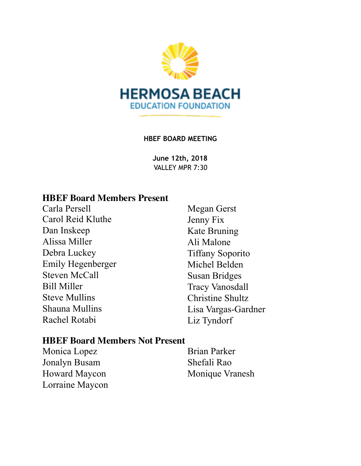

#### **HBEF BOARD MEETING**

**June 12th, 2018**  VALLEY MPR 7:30

#### **HBEF Board Members Present**

Carla Persell Carol Reid Kluthe Dan Inskeep Alissa Miller Debra Luckey Emily Hegenberger Steven McCall Bill Miller Steve Mullins Shauna Mullins Rachel Rotabi

Megan Gerst Jenny Fix Kate Bruning Ali Malone Tiffany Soporito Michel Belden Susan Bridges Tracy Vanosdall Christine Shultz Lisa Vargas-Gardner Liz Tyndorf

#### **HBEF Board Members Not Present**

Monica Lopez Jonalyn Busam Howard Maycon Lorraine Maycon Brian Parker Shefali Rao Monique Vranesh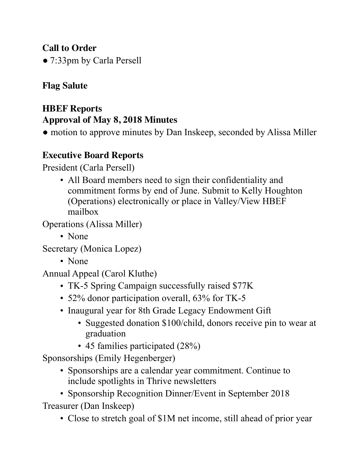## **Call to Order**

● 7:33pm by Carla Persell

# **Flag Salute**

# **HBEF Reports Approval of May 8, 2018 Minutes**

• motion to approve minutes by Dan Inskeep, seconded by Alissa Miller

# **Executive Board Reports**

President (Carla Persell)

• All Board members need to sign their confidentiality and commitment forms by end of June. Submit to Kelly Houghton (Operations) electronically or place in Valley/View HBEF mailbox

Operations (Alissa Miller)

• None

Secretary (Monica Lopez)

• None

Annual Appeal (Carol Kluthe)

- TK-5 Spring Campaign successfully raised \$77K
- 52% donor participation overall, 63% for TK-5
- Inaugural year for 8th Grade Legacy Endowment Gift
	- Suggested donation \$100/child, donors receive pin to wear at graduation
	- 45 families participated (28%)

Sponsorships (Emily Hegenberger)

• Sponsorships are a calendar year commitment. Continue to include spotlights in Thrive newsletters

• Sponsorship Recognition Dinner/Event in September 2018 Treasurer (Dan Inskeep)

• Close to stretch goal of \$1M net income, still ahead of prior year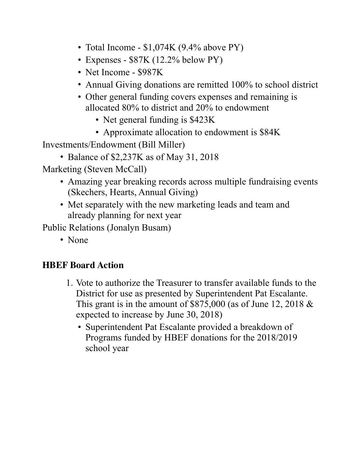- Total Income \$1,074K (9.4% above PY)
- Expenses \$87K (12.2% below PY)
- Net Income \$987K
- Annual Giving donations are remitted 100% to school district
- Other general funding covers expenses and remaining is allocated 80% to district and 20% to endowment
	- Net general funding is \$423K
	- Approximate allocation to endowment is \$84K

Investments/Endowment (Bill Miller)

• Balance of \$2,237K as of May 31, 2018

Marketing (Steven McCall)

- Amazing year breaking records across multiple fundraising events (Skechers, Hearts, Annual Giving)
- Met separately with the new marketing leads and team and already planning for next year

Public Relations (Jonalyn Busam)

• None

### **HBEF Board Action**

- 1. Vote to authorize the Treasurer to transfer available funds to the District for use as presented by Superintendent Pat Escalante. This grant is in the amount of  $$875,000$  (as of June 12, 2018  $&$ expected to increase by June 30, 2018)
	- Superintendent Pat Escalante provided a breakdown of Programs funded by HBEF donations for the 2018/2019 school year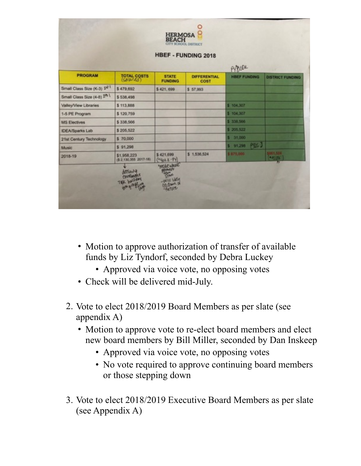|                                         |                                      |                                |                                    | <b>PYPERK</b>       |                          |  |
|-----------------------------------------|--------------------------------------|--------------------------------|------------------------------------|---------------------|--------------------------|--|
| <b>PROGRAM</b>                          | <b>TOTAL COSTS</b>                   | <b>STATE</b><br><b>FUNDING</b> | <b>DIFFERENTIAL</b><br><b>COST</b> | <b>HBEF FUNDING</b> | <b>DISTRICT FUNDING</b>  |  |
| Small Class Size (K-3) 1 <sup>4-1</sup> | \$479,692                            | \$421,699                      | \$57,993                           |                     |                          |  |
| Small Class Size (4-8) 2n-1             | \$538,498                            |                                |                                    |                     |                          |  |
| Valley/View Libraries                   | \$113,888                            |                                |                                    | \$ 104,307          |                          |  |
| 1-5 PE Program                          | \$120.759                            |                                |                                    | \$104,307           |                          |  |
| <b>MS Electives</b>                     | \$338,566                            |                                |                                    | \$ 338,566          |                          |  |
| <b>IDEA/Sparks Lab</b>                  | \$205,522                            |                                |                                    | \$205,522           |                          |  |
| 21st Century Technology                 | \$70,000                             |                                |                                    | \$ 31,000           |                          |  |
| Music                                   | \$91,298                             |                                |                                    | S 91,298 PEG 3      |                          |  |
| 2018-19                                 | \$1,958,223<br>(\$2,130,355 2017-18) | \$421,699<br>$(402K - 99)$     | \$1,536,524                        | \$875,000           | 1461.524<br>$-97.5^{21}$ |  |

- Motion to approve authorization of transfer of available funds by Liz Tyndorf, seconded by Debra Luckey
	- Approved via voice vote, no opposing votes
- Check will be delivered mid-July.
- 2. Vote to elect 2018/2019 Board Members as per slate (see appendix A)
	- Motion to approve vote to re-elect board members and elect new board members by Bill Miller, seconded by Dan Inskeep
		- Approved via voice vote, no opposing votes
		- No vote required to approve continuing board members or those stepping down
- 3. Vote to elect 2018/2019 Executive Board Members as per slate (see Appendix A)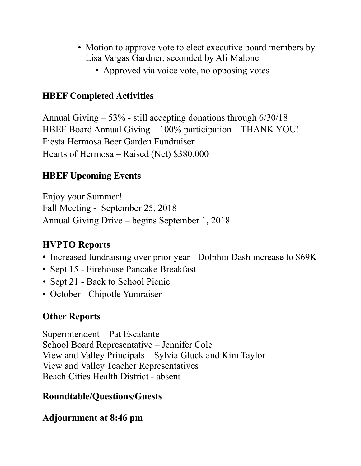- Motion to approve vote to elect executive board members by Lisa Vargas Gardner, seconded by Ali Malone
	- Approved via voice vote, no opposing votes

### **HBEF Completed Activities**

Annual Giving – 53% - still accepting donations through 6/30/18 HBEF Board Annual Giving – 100% participation – THANK YOU! Fiesta Hermosa Beer Garden Fundraiser Hearts of Hermosa – Raised (Net) \$380,000

### **HBEF Upcoming Events**

Enjoy your Summer! Fall Meeting - September 25, 2018 Annual Giving Drive – begins September 1, 2018

# **HVPTO Reports**

- Increased fundraising over prior year Dolphin Dash increase to \$69K
- Sept 15 Firehouse Pancake Breakfast
- Sept 21 Back to School Picnic
- October Chipotle Yumraiser

# **Other Reports**

Superintendent – Pat Escalante School Board Representative – Jennifer Cole View and Valley Principals – Sylvia Gluck and Kim Taylor View and Valley Teacher Representatives Beach Cities Health District - absent

### **Roundtable/Questions/Guests**

### **Adjournment at 8:46 pm**